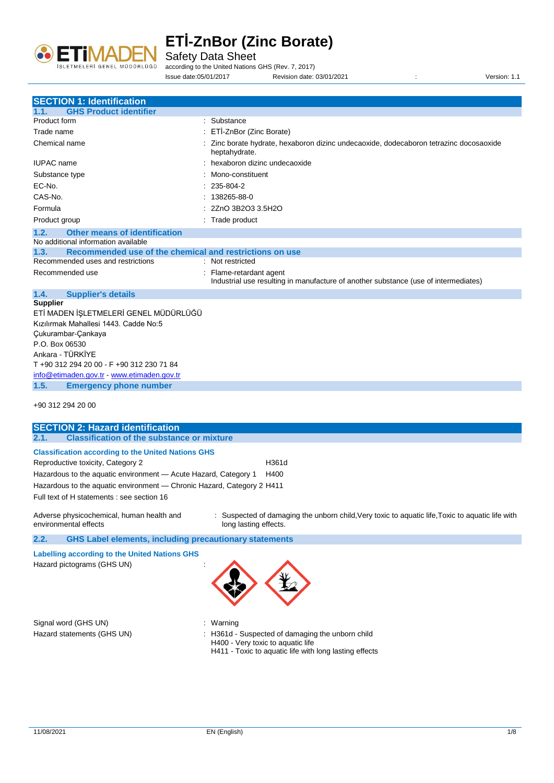

Safety Data Sheet

according to the United Nations GHS (Rev. 7, 2017)

Issue date:05/01/2017 Revision date: 03/01/2021 : Version: 1.1

| <b>SECTION 1: Identification</b>                                |                                                                                                                |
|-----------------------------------------------------------------|----------------------------------------------------------------------------------------------------------------|
| <b>GHS Product identifier</b><br>1.1.                           |                                                                                                                |
| Product form                                                    | : Substance                                                                                                    |
| Trade name                                                      | : ETİ-ZnBor (Zinc Borate)                                                                                      |
| Chemical name                                                   | : Zinc borate hydrate, hexaboron dizinc undecaoxide, dodecaboron tetrazinc docosaoxide<br>heptahydrate.        |
| <b>IUPAC</b> name                                               | : hexaboron dizinc undecaoxide                                                                                 |
| Substance type                                                  | Mono-constituent                                                                                               |
| EC-No.                                                          | $: 235 - 804 - 2$                                                                                              |
| CAS-No.                                                         | $: 138265 - 88 - 0$                                                                                            |
| Formula                                                         | 2ZnO 3B2O3 3.5H2O                                                                                              |
| Product group                                                   | : Trade product                                                                                                |
| 1.2.<br><b>Other means of identification</b>                    |                                                                                                                |
| No additional information available                             |                                                                                                                |
| Recommended use of the chemical and restrictions on use<br>1.3. |                                                                                                                |
| Recommended uses and restrictions                               | : Not restricted                                                                                               |
| Recommended use                                                 | : Flame-retardant agent<br>Industrial use resulting in manufacture of another substance (use of intermediates) |
| 1.4.<br><b>Supplier's details</b>                               |                                                                                                                |
| <b>Supplier</b>                                                 |                                                                                                                |
| ETİ MADEN İŞLETMELERİ GENEL MÜDÜRLÜĞÜ                           |                                                                                                                |
| Kızılırmak Mahallesi 1443, Cadde No:5                           |                                                                                                                |
| Cukurambar-Cankaya                                              |                                                                                                                |
| P.O. Box 06530                                                  |                                                                                                                |
| Ankara - TÜRKİYE                                                |                                                                                                                |
| T +90 312 294 20 00 - F +90 312 230 71 84                       |                                                                                                                |

+90 312 294 20 00

[info@etimaden.gov.tr](mailto:info@etimaden.gov.tr) - [www.etimaden.gov.tr](http://www.etimaden.gov.tr/) **1.5. Emergency phone number**

| <b>SECTION 2: Hazard identification</b>                                |                                                                                                |
|------------------------------------------------------------------------|------------------------------------------------------------------------------------------------|
| <b>Classification of the substance or mixture</b><br>2.1.              |                                                                                                |
| <b>Classification according to the United Nations GHS</b>              |                                                                                                |
| Reproductive toxicity, Category 2                                      | H361d                                                                                          |
| Hazardous to the aquatic environment — Acute Hazard, Category 1        | H400                                                                                           |
| Hazardous to the aquatic environment — Chronic Hazard, Category 2 H411 |                                                                                                |
| Full text of H statements : see section 16                             |                                                                                                |
|                                                                        |                                                                                                |
| Adverse physicochemical, human health and                              | Suspected of damaging the unborn child, Very toxic to aquatic life, Toxic to aquatic life with |
| environmental effects                                                  | long lasting effects.                                                                          |
| 2.2.<br><b>GHS Label elements, including precautionary statements</b>  |                                                                                                |
| <b>Labelling according to the United Nations GHS</b>                   |                                                                                                |
| Hazard pictograms (GHS UN)                                             |                                                                                                |
|                                                                        |                                                                                                |
|                                                                        |                                                                                                |
|                                                                        |                                                                                                |
|                                                                        |                                                                                                |
|                                                                        |                                                                                                |
| Signal word (GHS UN)                                                   | Warning                                                                                        |
| Hazard statements (GHS UN)                                             | H361d - Suspected of damaging the unborn child<br>H400 - Very toxic to aquatic life            |
|                                                                        | H411 - Toxic to aquatic life with long lasting effects                                         |
|                                                                        |                                                                                                |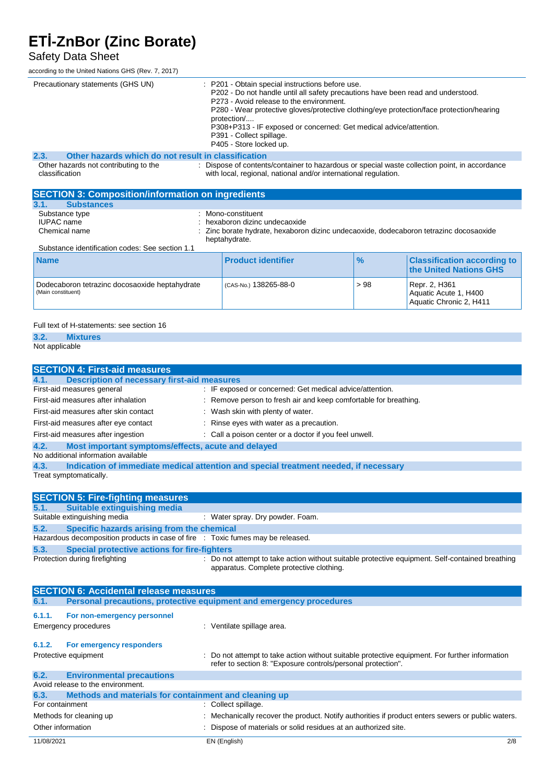#### Safety Data Sheet

according to the United Nations GHS (Rev. 7, 2017)

| Precautionary statements (GHS UN)                                    | : P201 - Obtain special instructions before use.<br>P202 - Do not handle until all safety precautions have been read and understood.<br>P273 - Avoid release to the environment.<br>P280 - Wear protective gloves/protective clothing/eye protection/face protection/hearing<br>protection/<br>P308+P313 - IF exposed or concerned: Get medical advice/attention.<br>P391 - Collect spillage.<br>P405 - Store locked up. |      |                                                                   |
|----------------------------------------------------------------------|--------------------------------------------------------------------------------------------------------------------------------------------------------------------------------------------------------------------------------------------------------------------------------------------------------------------------------------------------------------------------------------------------------------------------|------|-------------------------------------------------------------------|
| Other hazards which do not result in classification<br>2.3.          |                                                                                                                                                                                                                                                                                                                                                                                                                          |      |                                                                   |
| Other hazards not contributing to the<br>classification              | : Dispose of contents/container to hazardous or special waste collection point, in accordance<br>with local, regional, national and/or international regulation.                                                                                                                                                                                                                                                         |      |                                                                   |
| <b>SECTION 3: Composition/information on ingredients</b>             |                                                                                                                                                                                                                                                                                                                                                                                                                          |      |                                                                   |
| <b>Substances</b><br>3.1.                                            |                                                                                                                                                                                                                                                                                                                                                                                                                          |      |                                                                   |
| Substance type<br>٠                                                  | Mono-constituent                                                                                                                                                                                                                                                                                                                                                                                                         |      |                                                                   |
| <b>IUPAC</b> name                                                    | hexaboron dizinc undecaoxide                                                                                                                                                                                                                                                                                                                                                                                             |      |                                                                   |
| Chemical name                                                        | Zinc borate hydrate, hexaboron dizinc undecaoxide, dodecaboron tetrazinc docosaoxide                                                                                                                                                                                                                                                                                                                                     |      |                                                                   |
|                                                                      | heptahydrate.                                                                                                                                                                                                                                                                                                                                                                                                            |      |                                                                   |
| Substance identification codes: See section 1.1                      |                                                                                                                                                                                                                                                                                                                                                                                                                          |      |                                                                   |
| <b>Name</b>                                                          | <b>Product identifier</b>                                                                                                                                                                                                                                                                                                                                                                                                | $\%$ | <b>Classification according to</b><br>the United Nations GHS      |
| Dodecaboron tetrazinc docosaoxide heptahydrate<br>(Main constituent) | (CAS-No.) 138265-88-0                                                                                                                                                                                                                                                                                                                                                                                                    | > 98 | Repr. 2, H361<br>Aquatic Acute 1, H400<br>Aquatic Chronic 2, H411 |

#### Full text of H-statements: see section 16

**SECTION 6: Accidental release measures**

| 3.2.           | <b>Mixtures</b> |
|----------------|-----------------|
| Not applicable |                 |

| <b>SECTION 4: First-aid measures</b>                                            |                                                                                                 |
|---------------------------------------------------------------------------------|-------------------------------------------------------------------------------------------------|
| <b>Description of necessary first-aid measures</b><br>4.1.                      |                                                                                                 |
| First-aid measures general                                                      | : IF exposed or concerned: Get medical advice/attention.                                        |
| First-aid measures after inhalation                                             | : Remove person to fresh air and keep comfortable for breathing.                                |
| First-aid measures after skin contact                                           | : Wash skin with plenty of water.                                                               |
| First-aid measures after eye contact                                            | : Rinse eyes with water as a precaution.                                                        |
| First-aid measures after ingestion                                              | : Call a poison center or a doctor if you feel unwell.                                          |
| Most important symptoms/effects, acute and delayed<br>4.2.                      |                                                                                                 |
| No additional information available                                             |                                                                                                 |
| 4.3.                                                                            | Indication of immediate medical attention and special treatment needed, if necessary            |
| Treat symptomatically.                                                          |                                                                                                 |
|                                                                                 |                                                                                                 |
| <b>SECTION 5: Fire-fighting measures</b>                                        |                                                                                                 |
| Suitable extinguishing media<br>5.1.                                            |                                                                                                 |
| Suitable extinguishing media                                                    | : Water spray. Dry powder. Foam.                                                                |
| Specific hazards arising from the chemical<br>5.2.                              |                                                                                                 |
| Hazardous decomposition products in case of fire : Toxic fumes may be released. |                                                                                                 |
| 5.3.<br>Special protective actions for fire-fighters                            |                                                                                                 |
| Protection during firefighting                                                  | : Do not attempt to take action without suitable protective equipment. Self-contained breathing |

apparatus. Complete protective clothing.

11/08/2021 EN (English) 2/8 **6.1. Personal precautions, protective equipment and emergency procedures 6.1.1. For non-emergency personnel** Emergency procedures **in the set of the Control** of Ventilate spillage area. **6.1.2. For emergency responders** Protective equipment **interest and the suitable** controller to take action without suitable protective equipment. For further information refer to section 8: "Exposure controls/personal protection". **6.2. Environmental precautions** Avoid release to the environment. **6.3. Methods and materials for containment and cleaning up** For containment : Collect spillage. Methods for cleaning up : Mechanically recover the product. Notify authorities if product enters sewers or public waters. Other information **contains the contract of the contract of contract of contract of contract of contract of contract of contract of contract of contract of contract of contract of contract of contract of contract of contra**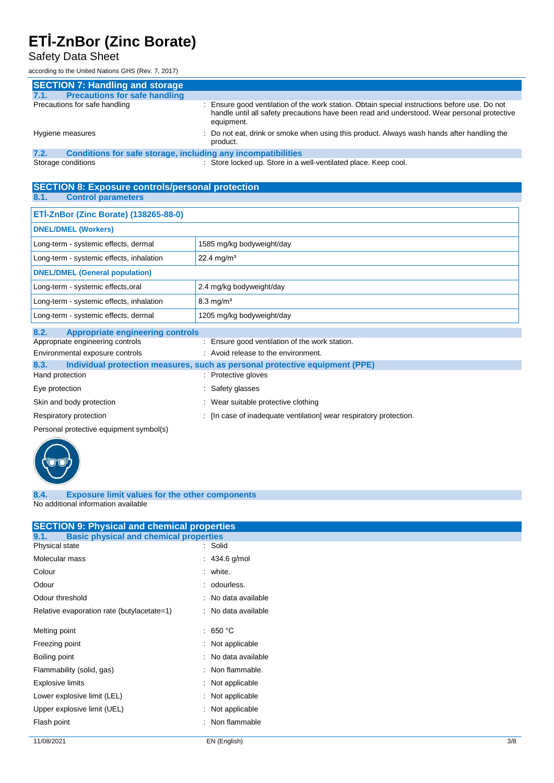### Safety Data Sheet

according to the United Nations GHS (Rev. 7, 2017)

| <b>SECTION 7: Handling and storage</b>                               |                                                                                                                                                                                                          |
|----------------------------------------------------------------------|----------------------------------------------------------------------------------------------------------------------------------------------------------------------------------------------------------|
| <b>Precautions for safe handling</b><br>7.1.                         |                                                                                                                                                                                                          |
| Precautions for safe handling                                        | Ensure good ventilation of the work station. Obtain special instructions before use. Do not<br>handle until all safety precautions have been read and understood. Wear personal protective<br>equipment. |
| Hygiene measures                                                     | Do not eat, drink or smoke when using this product. Always wash hands after handling the<br>product.                                                                                                     |
| 7.2.<br>Conditions for safe storage, including any incompatibilities |                                                                                                                                                                                                          |
| Storage conditions                                                   | : Store locked up. Store in a well-ventilated place. Keep cool.                                                                                                                                          |
|                                                                      |                                                                                                                                                                                                          |
| <b>SECTION 8: Exposure controls/personal protection</b>              |                                                                                                                                                                                                          |
| 8.1.<br><b>Control parameters</b>                                    |                                                                                                                                                                                                          |
|                                                                      |                                                                                                                                                                                                          |
| ETİ-ZnBor (Zinc Borate) (138265-88-0)                                |                                                                                                                                                                                                          |
| <b>DNEL/DMEL (Workers)</b>                                           |                                                                                                                                                                                                          |
| Long-term - systemic effects, dermal                                 | 1585 mg/kg bodyweight/day                                                                                                                                                                                |
| Long-term - systemic effects, inhalation                             | 22.4 mg/m <sup>3</sup>                                                                                                                                                                                   |
| <b>DNEL/DMEL (General population)</b>                                |                                                                                                                                                                                                          |
| Long-term - systemic effects, oral                                   | 2.4 mg/kg bodyweight/day                                                                                                                                                                                 |
| Long-term - systemic effects, inhalation                             | $8.3 \text{ mg/m}^3$                                                                                                                                                                                     |
| Long-term - systemic effects, dermal                                 | 1205 mg/kg bodyweight/day                                                                                                                                                                                |
| <b>Appropriate engineering controls</b><br>8.2.                      |                                                                                                                                                                                                          |
| Appropriate engineering controls                                     | : Ensure good ventilation of the work station.                                                                                                                                                           |
| Environmental exposure controls                                      | : Avoid release to the environment.                                                                                                                                                                      |
| 8.3.                                                                 | Individual protection measures, such as personal protective equipment (PPE)                                                                                                                              |
|                                                                      |                                                                                                                                                                                                          |

|                                         | o.S. Thurviqual protection measures, such as personal protective equipment (PPE) |
|-----------------------------------------|----------------------------------------------------------------------------------|
| Hand protection                         | : Protective gloves                                                              |
| Eye protection                          | : Safety glasses                                                                 |
| Skin and body protection                | Wear suitable protective clothing                                                |
| Respiratory protection                  | : [In case of inadequate ventilation] wear respiratory protection.               |
| Personal protective equipment symbol(s) |                                                                                  |



#### **8.4. Exposure limit values for the other components** No additional information available

| <b>SECTION 9: Physical and chemical properties</b>    |                     |
|-------------------------------------------------------|---------------------|
| <b>Basic physical and chemical properties</b><br>9.1. |                     |
| Physical state                                        | : Solid             |
| Molecular mass                                        | : $434.6$ g/mol     |
| Colour                                                | : white.            |
| Odour                                                 | : odourless.        |
| Odour threshold                                       | : No data available |
| Relative evaporation rate (butylacetate=1)            | : No data available |
| Melting point                                         | : 650 $^{\circ}$ C  |
| Freezing point                                        | : Not applicable    |
| Boiling point                                         | : No data available |
| Flammability (solid, gas)                             | : Non flammable.    |
| <b>Explosive limits</b>                               | $:$ Not applicable  |
| Lower explosive limit (LEL)                           | : Not applicable    |
| Upper explosive limit (UEL)                           | : Not applicable    |
| Flash point                                           | : Non flammable     |
|                                                       |                     |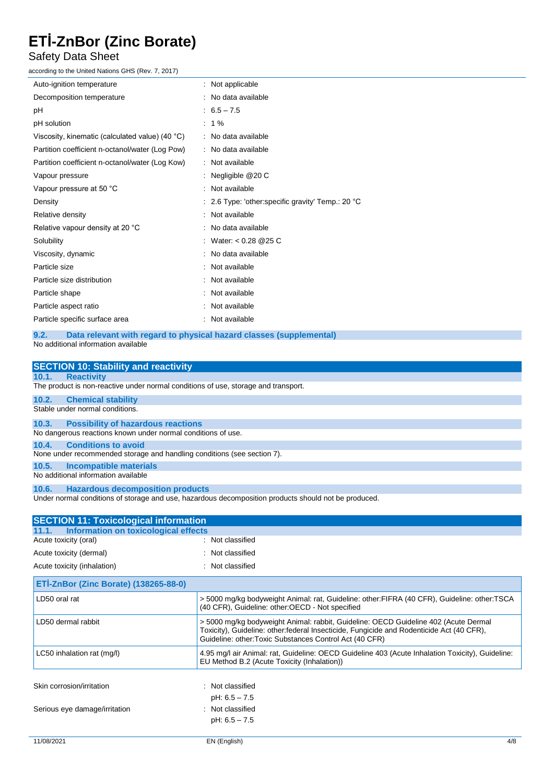#### Safety Data Sheet

according to the United Nations GHS (Rev. 7, 2017)

| Auto-ignition temperature                       | : Not applicable                                                    |
|-------------------------------------------------|---------------------------------------------------------------------|
| Decomposition temperature                       | : No data available                                                 |
| рH                                              | $: 6.5 - 7.5$                                                       |
| pH solution                                     | $: 1\%$                                                             |
| Viscosity, kinematic (calculated value) (40 °C) | : No data available                                                 |
| Partition coefficient n-octanol/water (Log Pow) | : No data available                                                 |
| Partition coefficient n-octanol/water (Log Kow) | : Not available                                                     |
| Vapour pressure                                 | : Negligible $@20C$                                                 |
| Vapour pressure at 50 °C                        | : Not available                                                     |
| Density                                         | : 2.6 Type: 'other: specific gravity' Temp.: 20 $^{\circ}$ C        |
| Relative density                                | : Not available                                                     |
| Relative vapour density at 20 °C                | : No data available                                                 |
| Solubility                                      | : Water: < 0.28 @ 25 C                                              |
| Viscosity, dynamic                              | : No data available                                                 |
| Particle size                                   | : Not available                                                     |
| Particle size distribution                      | : Not available                                                     |
| Particle shape                                  | : Not available                                                     |
| Particle aspect ratio                           | : Not available                                                     |
| Particle specific surface area                  | : Not available                                                     |
| 9.2.<br>No additional information available     | Data relevant with regard to physical hazard classes (supplemental) |

| <b>SECTION 10: Stability and reactivity</b>                                          |                                                                                                                                                                                                                                            |  |
|--------------------------------------------------------------------------------------|--------------------------------------------------------------------------------------------------------------------------------------------------------------------------------------------------------------------------------------------|--|
| <b>Reactivity</b><br>10.1.                                                           |                                                                                                                                                                                                                                            |  |
| The product is non-reactive under normal conditions of use, storage and transport.   |                                                                                                                                                                                                                                            |  |
| 10.2.<br><b>Chemical stability</b>                                                   |                                                                                                                                                                                                                                            |  |
| Stable under normal conditions.                                                      |                                                                                                                                                                                                                                            |  |
| 10.3.<br><b>Possibility of hazardous reactions</b>                                   |                                                                                                                                                                                                                                            |  |
| No dangerous reactions known under normal conditions of use.                         |                                                                                                                                                                                                                                            |  |
| <b>Conditions to avoid</b><br>10.4.                                                  |                                                                                                                                                                                                                                            |  |
| None under recommended storage and handling conditions (see section 7).              |                                                                                                                                                                                                                                            |  |
| <b>Incompatible materials</b><br>10.5.                                               |                                                                                                                                                                                                                                            |  |
| No additional information available                                                  |                                                                                                                                                                                                                                            |  |
| <b>Hazardous decomposition products</b><br>10.6.                                     |                                                                                                                                                                                                                                            |  |
|                                                                                      | Under normal conditions of storage and use, hazardous decomposition products should not be produced.                                                                                                                                       |  |
|                                                                                      |                                                                                                                                                                                                                                            |  |
| <b>SECTION 11: Toxicological information</b><br>Information on toxicological effects |                                                                                                                                                                                                                                            |  |
| 11.1.<br>Acute toxicity (oral)                                                       | Not classified                                                                                                                                                                                                                             |  |
| Acute toxicity (dermal)                                                              | Not classified                                                                                                                                                                                                                             |  |
|                                                                                      |                                                                                                                                                                                                                                            |  |
| Acute toxicity (inhalation)                                                          | Not classified                                                                                                                                                                                                                             |  |
| ETİ-ZnBor (Zinc Borate) (138265-88-0)                                                |                                                                                                                                                                                                                                            |  |
| LD50 oral rat                                                                        | > 5000 mg/kg bodyweight Animal: rat, Guideline: other:FIFRA (40 CFR), Guideline: other:TSCA<br>(40 CFR), Guideline: other:OECD - Not specified                                                                                             |  |
| LD50 dermal rabbit                                                                   | > 5000 mg/kg bodyweight Animal: rabbit, Guideline: OECD Guideline 402 (Acute Dermal<br>Toxicity), Guideline: other:federal Insecticide, Fungicide and Rodenticide Act (40 CFR),<br>Guideline: other: Toxic Substances Control Act (40 CFR) |  |
| LC50 inhalation rat (mg/l)                                                           | 4.95 mg/l air Animal: rat, Guideline: OECD Guideline 403 (Acute Inhalation Toxicity), Guideline:<br>EU Method B.2 (Acute Toxicity (Inhalation))                                                                                            |  |
| Skin corrosion/irritation                                                            | : Not classified<br>$pH: 6.5 - 7.5$                                                                                                                                                                                                        |  |
| Serious eye damage/irritation                                                        | : Not classified<br>$pH: 6.5 - 7.5$                                                                                                                                                                                                        |  |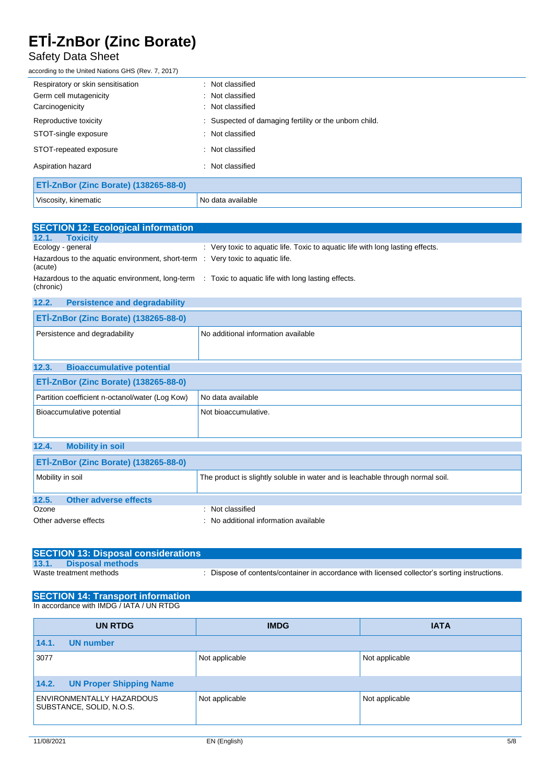### Safety Data Sheet

according to the United Nations GHS (Rev. 7, 2017)

| Respiratory or skin sensitisation     | : Not classified                                       |
|---------------------------------------|--------------------------------------------------------|
| Germ cell mutagenicity                | : Not classified                                       |
| Carcinogenicity                       | : Not classified                                       |
| Reproductive toxicity                 | : Suspected of damaging fertility or the unborn child. |
| STOT-single exposure                  | : Not classified                                       |
| STOT-repeated exposure                | : Not classified                                       |
| Aspiration hazard                     | : Not classified                                       |
| ETİ-ZnBor (Zinc Borate) (138265-88-0) |                                                        |
| Viscosity, kinematic                  | No data available                                      |

| <b>SECTION 12: Ecological information</b>                                                                       |                                                                                |
|-----------------------------------------------------------------------------------------------------------------|--------------------------------------------------------------------------------|
| <b>Toxicity</b><br>12.1.                                                                                        |                                                                                |
| Ecology - general                                                                                               | : Very toxic to aguatic life. Toxic to aguatic life with long lasting effects. |
| Hazardous to the aquatic environment, short-term : Very toxic to aquatic life.<br>(acute)                       |                                                                                |
| Hazardous to the aquatic environment, long-term : Toxic to aquatic life with long lasting effects.<br>(chronic) |                                                                                |
| <b>Persistence and degradability</b><br>12.2.                                                                   |                                                                                |

| ETİ-ZnBor (Zinc Borate) (138265-88-0)           |                                     |
|-------------------------------------------------|-------------------------------------|
| Persistence and degradability                   | No additional information available |
|                                                 |                                     |
| 12.3.<br><b>Bioaccumulative potential</b>       |                                     |
| ETİ-ZnBor (Zinc Borate) (138265-88-0)           |                                     |
| Partition coefficient n-octanol/water (Log Kow) | No data available                   |
| Bioaccumulative potential                       | Not bioaccumulative.                |
|                                                 |                                     |
| 12.4.<br><b>Mobility in soil</b>                |                                     |
| <b>ETİ-ZnBor (Zinc Borate) (138265-88-0)</b>    |                                     |
|                                                 |                                     |

| Mobility in soil                      | The product is slightly soluble in water and is leachable through normal soil. |
|---------------------------------------|--------------------------------------------------------------------------------|
| 12.5.<br><b>Other adverse effects</b> |                                                                                |
| Ozone                                 | : Not classified                                                               |
| Other adverse effects                 | : No additional information available                                          |

| <b>SECTION 13: Disposal considerations</b> |                                                                                             |
|--------------------------------------------|---------------------------------------------------------------------------------------------|
| 13.1.<br><b>Disposal methods</b>           |                                                                                             |
| Waste treatment methods                    | Dispose of contents/container in accordance with licensed collector's sorting instructions. |

#### **SECTION 14: Transport information** In accordance with IMDG / IATA / UN RTDG

| <b>UN RTDG</b>                                        | <b>IMDG</b>    | <b>IATA</b>    |
|-------------------------------------------------------|----------------|----------------|
| <b>UN number</b><br>14.1.                             |                |                |
| 3077                                                  | Not applicable | Not applicable |
| 14.2.<br><b>UN Proper Shipping Name</b>               |                |                |
| ENVIRONMENTALLY HAZARDOUS<br>SUBSTANCE, SOLID, N.O.S. | Not applicable | Not applicable |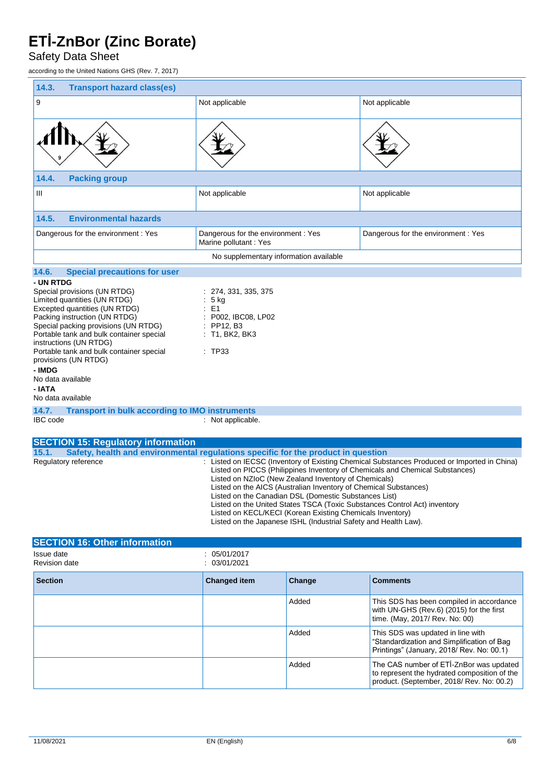### Safety Data Sheet

according to the United Nations GHS (Rev. 7, 2017)

| 14.3.<br><b>Transport hazard class(es)</b>                                                                                                                                                                                                                                                                                                                                                                                                                                                               |                                                             |                                     |
|----------------------------------------------------------------------------------------------------------------------------------------------------------------------------------------------------------------------------------------------------------------------------------------------------------------------------------------------------------------------------------------------------------------------------------------------------------------------------------------------------------|-------------------------------------------------------------|-------------------------------------|
| 9                                                                                                                                                                                                                                                                                                                                                                                                                                                                                                        | Not applicable                                              | Not applicable                      |
|                                                                                                                                                                                                                                                                                                                                                                                                                                                                                                          |                                                             |                                     |
| 14.4.<br><b>Packing group</b>                                                                                                                                                                                                                                                                                                                                                                                                                                                                            |                                                             |                                     |
| Ш                                                                                                                                                                                                                                                                                                                                                                                                                                                                                                        | Not applicable                                              | Not applicable                      |
| <b>Environmental hazards</b><br>14.5.                                                                                                                                                                                                                                                                                                                                                                                                                                                                    |                                                             |                                     |
| Dangerous for the environment: Yes                                                                                                                                                                                                                                                                                                                                                                                                                                                                       | Dangerous for the environment: Yes<br>Marine pollutant: Yes | Dangerous for the environment : Yes |
|                                                                                                                                                                                                                                                                                                                                                                                                                                                                                                          | No supplementary information available                      |                                     |
| 14.6.<br><b>Special precautions for user</b>                                                                                                                                                                                                                                                                                                                                                                                                                                                             |                                                             |                                     |
| - UN RTDG<br>Special provisions (UN RTDG)<br>274, 331, 335, 375<br>Limited quantities (UN RTDG)<br>5 kg<br>Excepted quantities (UN RTDG)<br>E <sub>1</sub><br>Packing instruction (UN RTDG)<br>P002, IBC08, LP02<br>Special packing provisions (UN RTDG)<br>PP12, B3<br>Portable tank and bulk container special<br>: T1, BK2, BK3<br>instructions (UN RTDG)<br>Portable tank and bulk container special<br>: TP33<br>provisions (UN RTDG)<br>- IMDG<br>No data available<br>- IATA<br>No data available |                                                             |                                     |
| 14.7.<br><b>Transport in bulk according to IMO instruments</b><br><b>IBC</b> code                                                                                                                                                                                                                                                                                                                                                                                                                        | : Not applicable.                                           |                                     |
| <b>SECTION 15: Regulatory information</b><br>15.1.<br>Safety, health and environmental regulations specific for the product in question<br>: Listed on IECSC (Inventory of Existing Chemical Substances Produced or Imported in China)<br>Regulatory reference<br>Listed on PICCS (Philippines Inventory of Chemicals and Chemical Substances)<br>Listed on NZIoC (New Zealand Inventory of Chemicals)<br>Listed on the AICS (Australian Inventory of Chemical Substances)                               |                                                             |                                     |

Listed on the Canadian DSL (Domestic Substances List) Listed on the United States TSCA (Toxic Substances Control Act) inventory

Listed on KECL/KECI (Korean Existing Chemicals Inventory)

Listed on the Japanese ISHL (Industrial Safety and Health Law).

| <b>SECTION 16: Other information</b> |                              |        |                                                                                                                                      |
|--------------------------------------|------------------------------|--------|--------------------------------------------------------------------------------------------------------------------------------------|
| Issue date<br>Revision date          | : 05/01/2017<br>: 03/01/2021 |        |                                                                                                                                      |
| <b>Section</b>                       | <b>Changed item</b>          | Change | <b>Comments</b>                                                                                                                      |
|                                      |                              | Added  | This SDS has been compiled in accordance<br>with UN-GHS (Rev.6) (2015) for the first<br>time. (May, 2017/ Rev. No: 00)               |
|                                      |                              | Added  | This SDS was updated in line with<br>"Standardization and Simplification of Bag<br>Printings" (January, 2018/ Rev. No: 00.1)         |
|                                      |                              | Added  | The CAS number of ETI-ZnBor was updated<br>to represent the hydrated composition of the<br>product. (September, 2018/ Rev. No: 00.2) |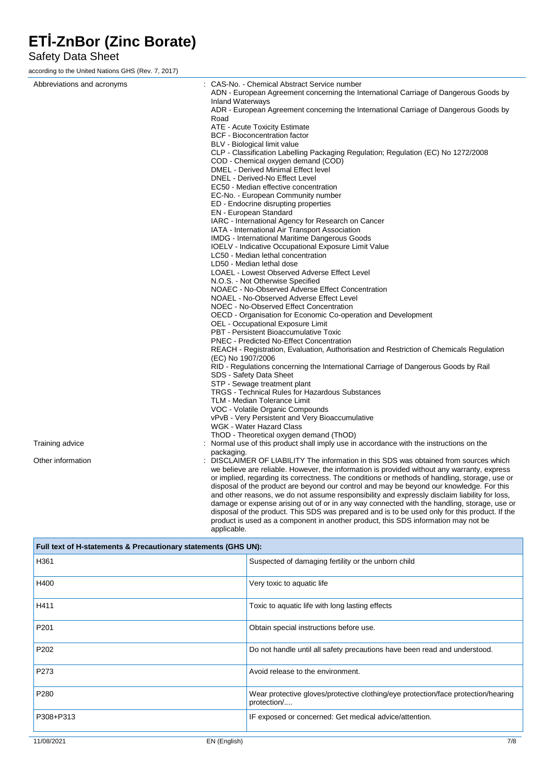### Safety Data Sheet

according to the United Nations GHS (Rev. 7, 2017)

| Abbreviations and acronyms | : CAS-No. - Chemical Abstract Service number<br>ADN - European Agreement concerning the International Carriage of Dangerous Goods by |
|----------------------------|--------------------------------------------------------------------------------------------------------------------------------------|
|                            | <b>Inland Waterways</b>                                                                                                              |
|                            | ADR - European Agreement concerning the International Carriage of Dangerous Goods by                                                 |
|                            | Road                                                                                                                                 |
|                            | ATE - Acute Toxicity Estimate                                                                                                        |
|                            | <b>BCF</b> - Bioconcentration factor                                                                                                 |
|                            | BLV - Biological limit value                                                                                                         |
|                            | CLP - Classification Labelling Packaging Regulation; Regulation (EC) No 1272/2008                                                    |
|                            | COD - Chemical oxygen demand (COD)                                                                                                   |
|                            | DMEL - Derived Minimal Effect level                                                                                                  |
|                            | DNEL - Derived-No Effect Level                                                                                                       |
|                            | EC50 - Median effective concentration                                                                                                |
|                            | EC-No. - European Community number                                                                                                   |
|                            | ED - Endocrine disrupting properties                                                                                                 |
|                            | <b>EN</b> - European Standard                                                                                                        |
|                            | IARC - International Agency for Research on Cancer                                                                                   |
|                            | IATA - International Air Transport Association                                                                                       |
|                            | <b>IMDG</b> - International Maritime Dangerous Goods                                                                                 |
|                            | <b>IOELV</b> - Indicative Occupational Exposure Limit Value                                                                          |
|                            | LC50 - Median lethal concentration                                                                                                   |
|                            | LD50 - Median lethal dose                                                                                                            |
|                            | LOAEL - Lowest Observed Adverse Effect Level                                                                                         |
|                            | N.O.S. - Not Otherwise Specified                                                                                                     |
|                            | NOAEC - No-Observed Adverse Effect Concentration                                                                                     |
|                            | NOAEL - No-Observed Adverse Effect Level                                                                                             |
|                            | NOEC - No-Observed Effect Concentration                                                                                              |
|                            | OECD - Organisation for Economic Co-operation and Development                                                                        |
|                            | OEL - Occupational Exposure Limit                                                                                                    |
|                            | PBT - Persistent Bioaccumulative Toxic                                                                                               |
|                            | <b>PNEC - Predicted No-Effect Concentration</b>                                                                                      |
|                            | REACH - Registration, Evaluation, Authorisation and Restriction of Chemicals Regulation<br>(EC) No 1907/2006                         |
|                            | RID - Regulations concerning the International Carriage of Dangerous Goods by Rail                                                   |
|                            | SDS - Safety Data Sheet                                                                                                              |
|                            | STP - Sewage treatment plant                                                                                                         |
|                            | TRGS - Technical Rules for Hazardous Substances                                                                                      |
|                            | TLM - Median Tolerance Limit                                                                                                         |
|                            | VOC - Volatile Organic Compounds                                                                                                     |
|                            | vPvB - Very Persistent and Very Bioaccumulative                                                                                      |
|                            | WGK - Water Hazard Class                                                                                                             |
|                            | ThOD - Theoretical oxygen demand (ThOD)                                                                                              |
| Training advice            | Normal use of this product shall imply use in accordance with the instructions on the                                                |
| Other information          | packaging.<br>DISCLAIMER OF LIABILITY The information in this SDS was obtained from sources which                                    |
|                            | we believe are reliable. However, the information is provided without any warranty, express                                          |
|                            | or implied, regarding its correctness. The conditions or methods of handling, storage, use or                                        |
|                            | disposal of the product are beyond our control and may be beyond our knowledge. For this                                             |
|                            | and other reasons, we do not assume responsibility and expressly disclaim liability for loss,                                        |
|                            | damage or expense arising out of or in any way connected with the handling, storage, use or                                          |
|                            | disposal of the product. This SDS was prepared and is to be used only for this product. If the                                       |

disposal of the product. This SDS was prepared and is to be used only for this product. If the product is used as a component in another product, this SDS information may not be applicable.

| Full text of H-statements & Precautionary statements (GHS UN): |                                                                                                  |  |
|----------------------------------------------------------------|--------------------------------------------------------------------------------------------------|--|
| H361                                                           | Suspected of damaging fertility or the unborn child                                              |  |
| H400                                                           | Very toxic to aquatic life                                                                       |  |
| H411                                                           | Toxic to aquatic life with long lasting effects                                                  |  |
| P <sub>201</sub>                                               | Obtain special instructions before use.                                                          |  |
| P <sub>202</sub>                                               | Do not handle until all safety precautions have been read and understood.                        |  |
| P273                                                           | Avoid release to the environment.                                                                |  |
| P280                                                           | Wear protective gloves/protective clothing/eye protection/face protection/hearing<br>protection/ |  |
| P308+P313                                                      | IF exposed or concerned: Get medical advice/attention.                                           |  |